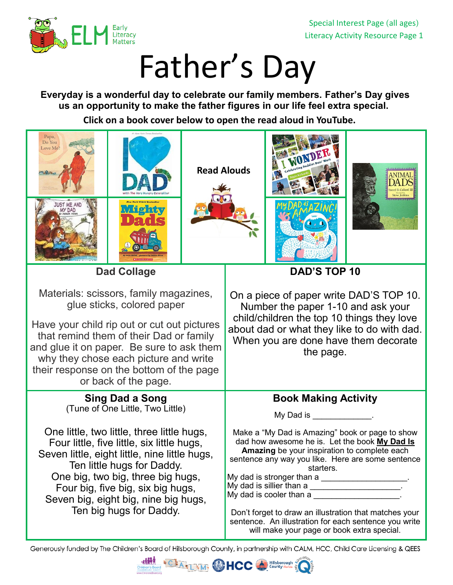

Special Interest Page (all ages) Literacy Activity Resource Page 1

## Father's Day

**Everyday is a wonderful day to celebrate our family members. Father's Day gives us an opportunity to make the father figures in our life feel extra special.**

**Click on a book cover below to open the read aloud in YouTube.** 



Generously funded by The Children's Board of Hillsborough County, in partnership with CALM, HCC, Child Care Licensing & QEES

Hillsborough